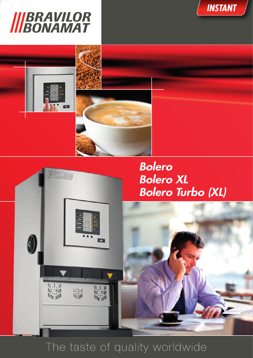





*INSTANT*

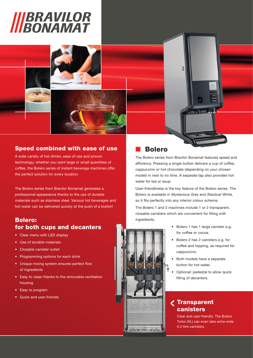# *IIIBRAVILOR*<br>*IIIBONAMAT*

### Speed combined with ease of use

A wide variety of hot drinks, ease of use and proven technology; whether you want large or small quantities of coffee, the Bolero series of instant beverage machines offer the perfect solution for every location.

The Bolero series from Bravilor Bonamat generates a professional appearance thanks to the use of durable materials such as stainless steel. Various hot beverages and hot water can be delivered quickly at the push of a button!

#### Bolero: for both cups and decanters

- Clear menu with LED display
- Use of durable materials
- Closable canister outlet
- Programming options for each drink
- Unique mixing system ensures perfect flow of ingredients
- Easy to clean thanks to the removable ventilation housing
- Easy to program
- Quick and user-friendly

#### **Bolero**

The Bolero series from Bravilor Bonamat features speed and efficiency. Pressing a single button delivers a cup of coffee, cappuccino or hot chocolate (depending on your chosen model) in next to no time. A separate tap also provides hot water for tea or soup.

 $-10$ 

ŋ

User-friendliness is the key feature of the Bolero series. The Bolero is available in Mysterious Grey and Stardust White, so it fits perfectly into any interior colour scheme.

The Bolero 1 and 2 machines include 1 or 2 transparent, closable canisters which are convenient for filling with ingredients.

- Bolero 1 has 1 large canister e.g. for coffee or cocoa.
- Bolero 2 has 2 canisters e.g. for coffee and topping, as required for cappuccino.
- Both models have a separate button for hot water.
- Optional: pedestal to allow quick filling of decanters.

#### Transparent canisters

Clear and user-friendly. The Bolero Turbo (XL) can even take extra-wide 5.3 litre canisters.



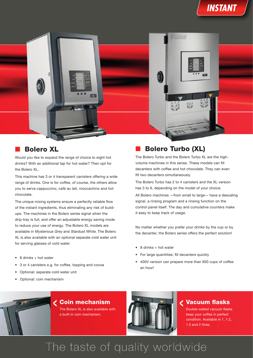



#### **Bolero XL**

Would you like to expand the range of choice to eight hot drinks? With an additional tap for hot water? Then opt for the Bolero XL.

This machine has 3 or 4 transparent canisters offering a wide range of drinks. One is for coffee, of course, the others allow you to serve cappuccino, café au lait, moccachino and hot chocolate.

The unique mixing systems ensure a perfectly reliable flow of the instant ingredients, thus eliminating any risk of buildups. The machines in the Bolero series signal when the drip-tray is full, and offer an adjustable energy saving mode to reduce your use of energy. The Bolero XL models are available in Mysterious Grey and Stardust White. The Bolero XL is also available with an optional separate cold water unit for serving glasses of cold water.

- 8 drinks + hot water
- 3 or 4 canisters e.g. for coffee, topping and cocoa
- Optional: separate cold water unit
- Optional: coin mechanism

### **Bolero Turbo (XL)**

The Bolero Turbo and the Bolero Turbo XL are the highvolume machines in this series. These models can fill decanters with coffee and hot chocolate. They can even fill two decanters simultaneously.

The Bolero Turbo has 2 to 4 canisters and the XL version has 3 to 6, depending on the model of your choice.

All Bolero machines —from small to large— have a descaling signal, a rinsing program and a rinsing function on the control panel itself. The day and cumulative counters make it easy to keep track of usage.

No matter whether you prefer your drinks by the cup or by the decanter, the Bolero series offers the perfect solution!

- 8 drinks + hot water
- For large quantities; fill decanters quickly
- 400V version can prepare more than 950 cups of coffee an hour!



#### Coin mechanism

The Bolero XL is also available with a built-in coin mechanism.



#### Vacuum flasks

Double-walled vacuum flasks keep your coffee in perfect condition. Available in 1, 1.2, 1.5 and 2 litres.